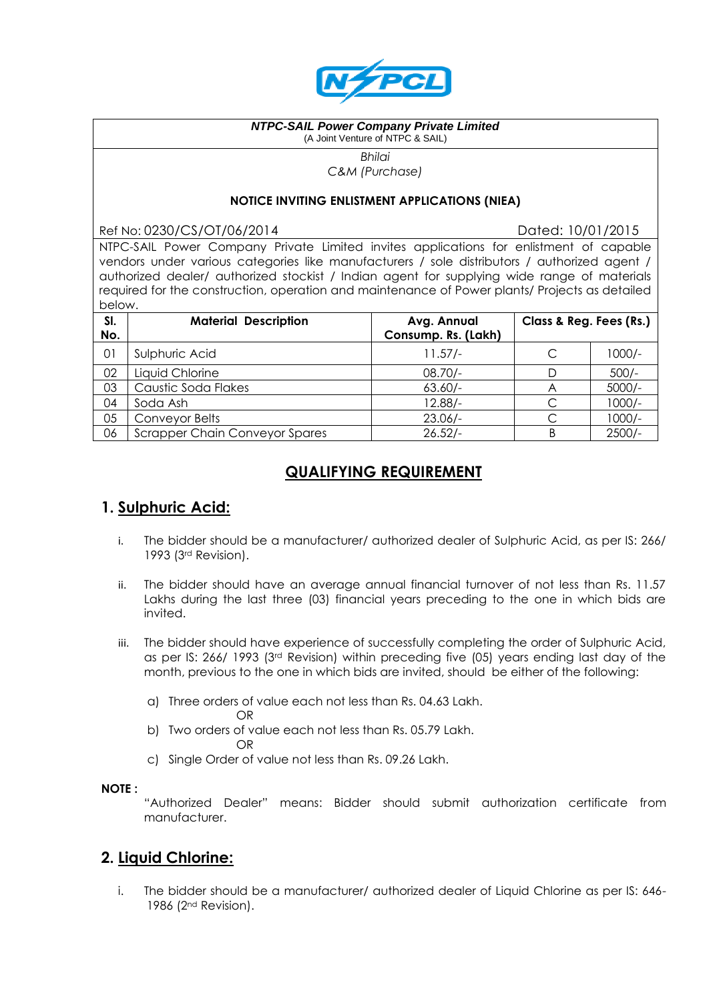

#### *NTPC-SAIL Power Company Private Limited* (A Joint Venture of NTPC & SAIL)

*Bhilai C&M (Purchase)*

#### **NOTICE INVITING ENLISTMENT APPLICATIONS (NIEA)**

Ref No: 0230/CS/OT/06/2014 Dated: 10/01/2015

NTPC-SAIL Power Company Private Limited invites applications for enlistment of capable vendors under various categories like manufacturers / sole distributors / authorized agent / authorized dealer/ authorized stockist / Indian agent for supplying wide range of materials required for the construction, operation and maintenance of Power plants/ Projects as detailed below.

| SI.<br>No. | <b>Material Description</b>           | Avg. Annual<br>Consump. Rs. (Lakh) | Class & Reg. Fees (Rs.) |          |
|------------|---------------------------------------|------------------------------------|-------------------------|----------|
| 01         | Sulphuric Acid                        | $11.57/-$                          | C                       | $1000/-$ |
| 02         | Liquid Chlorine                       | $08.70/-$                          |                         | $500/-$  |
| 03         | Caustic Soda Flakes                   | $63.60/-$                          | A                       | $5000/-$ |
| 04         | Soda Ash                              | $12.88/-$                          |                         | $1000/-$ |
| 05         | Conveyor Belts                        | $23.06/-$                          |                         | $1000/-$ |
| 06         | <b>Scrapper Chain Conveyor Spares</b> | $26.52/-$                          | B                       | $2500/-$ |

# **QUALIFYING REQUIREMENT**

# **1. Sulphuric Acid:**

- i. The bidder should be a manufacturer/ authorized dealer of Sulphuric Acid, as per IS: 266/ 1993 (3rd Revision).
- ii. The bidder should have an average annual financial turnover of not less than Rs. 11.57 Lakhs during the last three (03) financial years preceding to the one in which bids are invited.
- iii. The bidder should have experience of successfully completing the order of Sulphuric Acid, as per IS: 266/ 1993 (3rd Revision) within preceding five (05) years ending last day of the month, previous to the one in which bids are invited, should be either of the following:
	- a) Three orders of value each not less than Rs. 04.63 Lakh.
		- OR
	- b) Two orders of value each not less than Rs. 05.79 Lakh. OR
	- c) Single Order of value not less than Rs. 09.26 Lakh.

#### **NOTE :**

"Authorized Dealer" means: Bidder should submit authorization certificate from manufacturer.

# **2. Liquid Chlorine:**

i. The bidder should be a manufacturer/ authorized dealer of Liquid Chlorine as per IS: 646- 1986 (2nd Revision).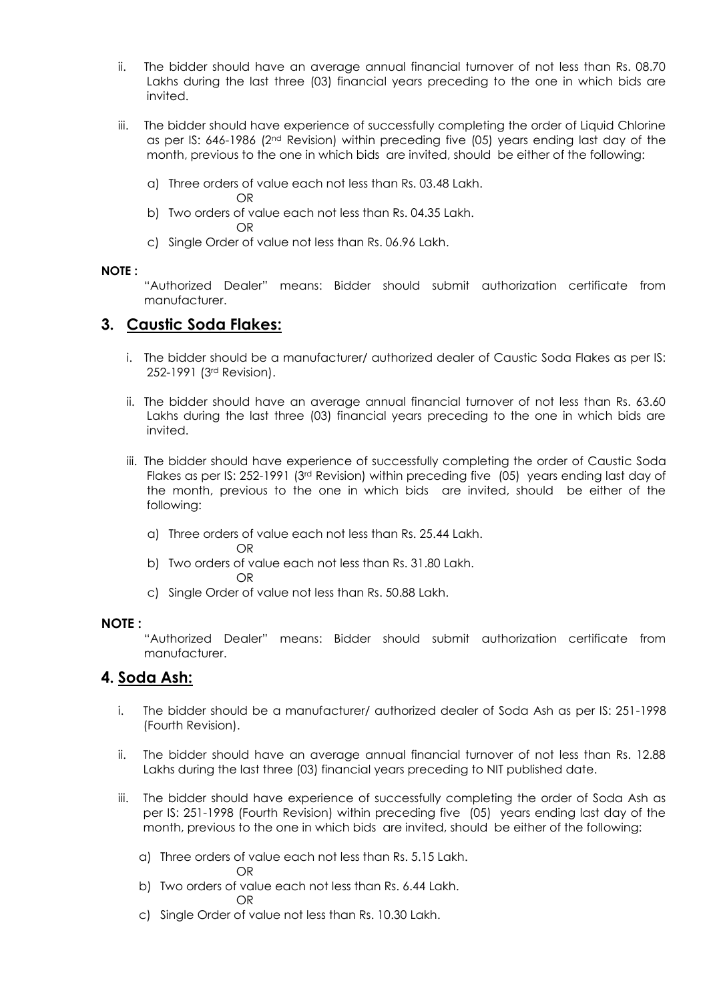- ii. The bidder should have an average annual financial turnover of not less than Rs. 08.70 Lakhs during the last three (03) financial years preceding to the one in which bids are invited.
- iii. The bidder should have experience of successfully completing the order of Liquid Chlorine as per IS: 646-1986 (2nd Revision) within preceding five (05) years ending last day of the month, previous to the one in which bids are invited, should be either of the following:
	- a) Three orders of value each not less than Rs. 03.48 Lakh. OR
	- b) Two orders of value each not less than Rs. 04.35 Lakh. OR
	- c) Single Order of value not less than Rs. 06.96 Lakh.

#### **NOTE :**

"Authorized Dealer" means: Bidder should submit authorization certificate from manufacturer.

### **3. Caustic Soda Flakes:**

- i. The bidder should be a manufacturer/ authorized dealer of Caustic Soda Flakes as per IS: 252-1991 (3rd Revision).
- ii. The bidder should have an average annual financial turnover of not less than Rs. 63.60 Lakhs during the last three (03) financial years preceding to the one in which bids are invited.
- iii. The bidder should have experience of successfully completing the order of Caustic Soda Flakes as per IS: 252-1991 (3rd Revision) within preceding five (05) years ending last day of the month, previous to the one in which bids are invited, should be either of the following:
	- a) Three orders of value each not less than Rs. 25.44 Lakh. OR
	- b) Two orders of value each not less than Rs. 31.80 Lakh. OR
	- c) Single Order of value not less than Rs. 50.88 Lakh.

#### **NOTE :**

"Authorized Dealer" means: Bidder should submit authorization certificate from manufacturer.

### **4. Soda Ash:**

- i. The bidder should be a manufacturer/ authorized dealer of Soda Ash as per IS: 251-1998 (Fourth Revision).
- ii. The bidder should have an average annual financial turnover of not less than Rs. 12.88 Lakhs during the last three (03) financial years preceding to NIT published date.
- iii. The bidder should have experience of successfully completing the order of Soda Ash as per IS: 251-1998 (Fourth Revision) within preceding five (05) years ending last day of the month, previous to the one in which bids are invited, should be either of the following:
	- a) Three orders of value each not less than Rs. 5.15 Lakh.
	- OR b) Two orders of value each not less than Rs. 6.44 Lakh.
		- OR
	- c) Single Order of value not less than Rs. 10.30 Lakh.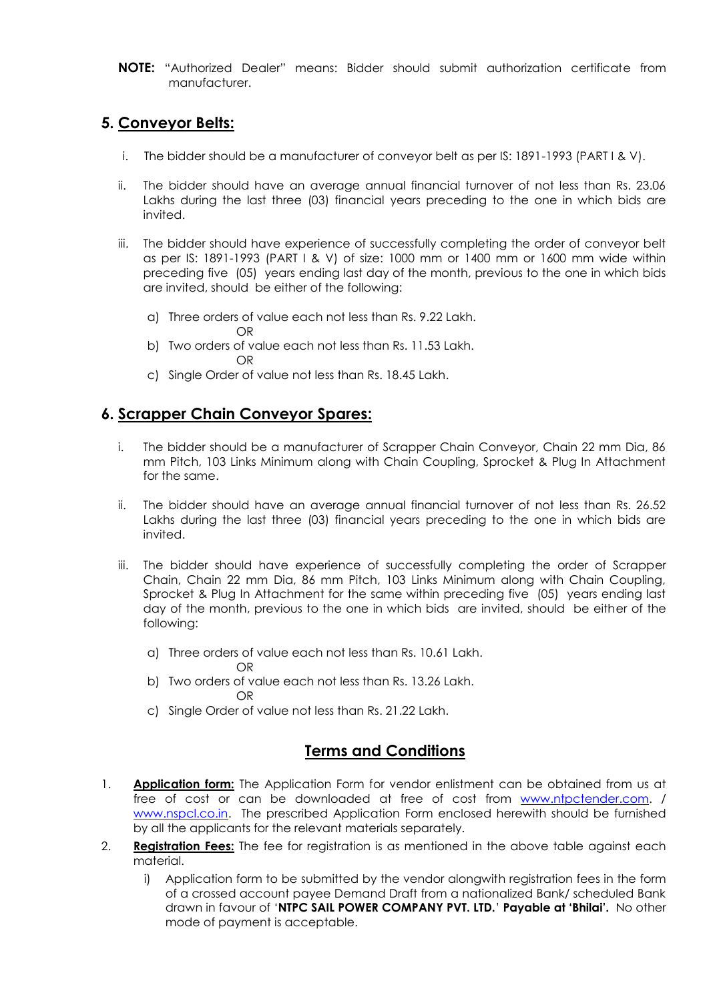**NOTE:** "Authorized Dealer" means: Bidder should submit authorization certificate from manufacturer.

# **5. Conveyor Belts:**

- i. The bidder should be a manufacturer of conveyor belt as per IS: 1891-1993 (PART I & V).
- ii. The bidder should have an average annual financial turnover of not less than Rs. 23.06 Lakhs during the last three (03) financial years preceding to the one in which bids are invited.
- iii. The bidder should have experience of successfully completing the order of conveyor belt as per IS: 1891-1993 (PART I & V) of size: 1000 mm or 1400 mm or 1600 mm wide within preceding five (05) years ending last day of the month, previous to the one in which bids are invited, should be either of the following:
	- a) Three orders of value each not less than Rs. 9.22 Lakh. OR
	- b) Two orders of value each not less than Rs. 11.53 Lakh. OR
	- c) Single Order of value not less than Rs. 18.45 Lakh.

## **6. Scrapper Chain Conveyor Spares:**

- i. The bidder should be a manufacturer of Scrapper Chain Conveyor, Chain 22 mm Dia, 86 mm Pitch, 103 Links Minimum along with Chain Coupling, Sprocket & Plug In Attachment for the same.
- ii. The bidder should have an average annual financial turnover of not less than Rs. 26.52 Lakhs during the last three (03) financial years preceding to the one in which bids are invited.
- iii. The bidder should have experience of successfully completing the order of Scrapper Chain, Chain 22 mm Dia, 86 mm Pitch, 103 Links Minimum along with Chain Coupling, Sprocket & Plug In Attachment for the same within preceding five (05) years ending last day of the month, previous to the one in which bids are invited, should be either of the following:
	- a) Three orders of value each not less than Rs. 10.61 Lakh.
		- OR
	- b) Two orders of value each not less than Rs. 13.26 Lakh. OR
	- c) Single Order of value not less than Rs. 21.22 Lakh.

## **Terms and Conditions**

- 1. **Application form:** The Application Form for vendor enlistment can be obtained from us at free of cost or can be downloaded at free of cost from [www.ntpctender.com.](http://www.ntpctender.com/) / [www.nspcl.co.in.](http://www.nspcl.co.in/) The prescribed Application Form enclosed herewith should be furnished by all the applicants for the relevant materials separately.
- 2. **Registration Fees:** The fee for registration is as mentioned in the above table against each material.
	- i) Application form to be submitted by the vendor alongwith registration fees in the form of a crossed account payee Demand Draft from a nationalized Bank/ scheduled Bank drawn in favour of '**NTPC SAIL POWER COMPANY PVT. LTD.**' **Payable at 'Bhilai'.** No other mode of payment is acceptable.